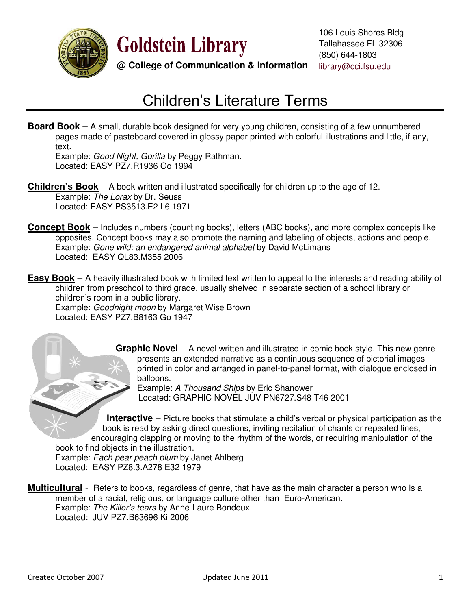

**Goldstein Library** 

**@ College of Communication & Information** library@cci.fsu.edu

## Children's Literature Terms

**Board Book** – A small, durable book designed for very young children, consisting of a few unnumbered pages made of pasteboard covered in glossy paper printed with colorful illustrations and little, if any, text.

Example: *Good Night, Gorilla* by Peggy Rathman. Located: EASY PZ7.R1936 Go 1994

**Children's Book** – A book written and illustrated specifically for children up to the age of 12. Example: *The Lorax* by Dr. Seuss Located: EASY PS3513.E2 L6 1971

**Concept Book** – Includes numbers (counting books), letters (ABC books), and more complex concepts like opposites. Concept books may also promote the naming and labeling of objects, actions and people. Example: *Gone wild: an endangered animal alphabet* by David McLimans Located: EASY QL83.M355 2006

**Easy Book** – A heavily illustrated book with limited text written to appeal to the interests and reading ability of children from preschool to third grade, usually shelved in separate section of a school library or children's room in a public library.

 Example: *Goodnight moon* by Margaret Wise Brown Located: EASY PZ7.B8163 Go 1947

> **Graphic Novel** – A novel written and illustrated in comic book style. This new genre presents an extended narrative as a continuous sequence of pictorial images printed in color and arranged in panel-to-panel format, with dialogue enclosed in balloons.

Example: *A Thousand Ships* by Eric Shanower Located: GRAPHIC NOVEL JUV PN6727.S48 T46 2001

**Interactive** – Picture books that stimulate a child's verbal or physical participation as the book is read by asking direct questions, inviting recitation of chants or repeated lines, encouraging clapping or moving to the rhythm of the words, or requiring manipulation of the book to find objects in the illustration.

 Example: *Each pear peach plum* by Janet Ahlberg Located: EASY PZ8.3.A278 E32 1979

**Multicultural** - Refers to books, regardless of genre, that have as the main character a person who is a member of a racial, religious, or language culture other than Euro-American. Example: *The Killer's tears* by Anne-Laure Bondoux Located: JUV PZ7.B63696 Ki 2006